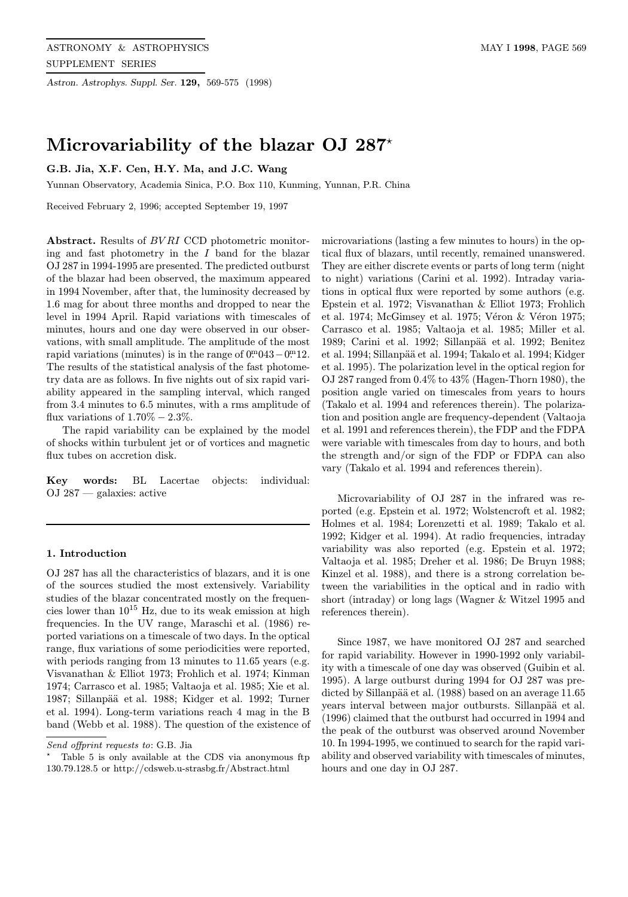Astron. Astrophys. Suppl. Ser. 129, 569-575 (1998)

# Microvariability of the blazar OJ 287<sup>\*</sup>

# G.B. Jia, X.F. Cen, H.Y. Ma, and J.C. Wang

Yunnan Observatory, Academia Sinica, P.O. Box 110, Kunming, Yunnan, P.R. China

Received February 2, 1996; accepted September 19, 1997

Abstract. Results of BV RI CCD photometric monitoring and fast photometry in the  $I$  band for the blazar OJ 287 in 1994-1995 are presented. The predicted outburst of the blazar had been observed, the maximum appeared in 1994 November, after that, the luminosity decreased by 1.6 mag for about three months and dropped to near the level in 1994 April. Rapid variations with timescales of minutes, hours and one day were observed in our observations, with small amplitude. The amplitude of the most rapid variations (minutes) is in the range of  $0^{\text{m}}043 - 0^{\text{m}}12$ . The results of the statistical analysis of the fast photometry data are as follows. In five nights out of six rapid variability appeared in the sampling interval, which ranged from 3.4 minutes to 6.5 minutes, with a rms amplitude of flux variations of  $1.70\% - 2.3\%$ .

The rapid variability can be explained by the model of shocks within turbulent jet or of vortices and magnetic flux tubes on accretion disk.

Key words: BL Lacertae objects: individual: OJ 287 — galaxies: active

#### 1. Introduction

OJ 287 has all the characteristics of blazars, and it is one of the sources studied the most extensively. Variability studies of the blazar concentrated mostly on the frequencies lower than  $10^{15}$  Hz, due to its weak emission at high frequencies. In the UV range, Maraschi et al. (1986) reported variations on a timescale of two days. In the optical range, flux variations of some periodicities were reported, with periods ranging from 13 minutes to 11.65 years (e.g. Visvanathan & Elliot 1973; Frohlich et al. 1974; Kinman 1974; Carrasco et al. 1985; Valtaoja et al. 1985; Xie et al. 1987; Sillanpää et al. 1988; Kidger et al. 1992; Turner et al. 1994). Long-term variations reach 4 mag in the B band (Webb et al. 1988). The question of the existence of

microvariations (lasting a few minutes to hours) in the optical flux of blazars, until recently, remained unanswered. They are either discrete events or parts of long term (night to night) variations (Carini et al. 1992). Intraday variations in optical flux were reported by some authors (e.g. Epstein et al. 1972; Visvanathan & Elliot 1973; Frohlich et al. 1974; McGimsey et al. 1975; Véron  $&$  Véron 1975; Carrasco et al. 1985; Valtaoja et al. 1985; Miller et al. 1989; Carini et al. 1992; Sillanpää et al. 1992; Benitez et al. 1994; Sillanpää et al. 1994; Takalo et al. 1994; Kidger et al. 1995). The polarization level in the optical region for OJ 287 ranged from  $0.4\%$  to  $43\%$  (Hagen-Thorn 1980), the position angle varied on timescales from years to hours (Takalo et al. 1994 and references therein). The polarization and position angle are frequency-dependent (Valtaoja et al. 1991 and references therein), the FDP and the FDPA were variable with timescales from day to hours, and both the strength and/or sign of the FDP or FDPA can also vary (Takalo et al. 1994 and references therein).

Microvariability of OJ 287 in the infrared was reported (e.g. Epstein et al. 1972; Wolstencroft et al. 1982; Holmes et al. 1984; Lorenzetti et al. 1989; Takalo et al. 1992; Kidger et al. 1994). At radio frequencies, intraday variability was also reported (e.g. Epstein et al. 1972; Valtaoja et al. 1985; Dreher et al. 1986; De Bruyn 1988; Kinzel et al. 1988), and there is a strong correlation between the variabilities in the optical and in radio with short (intraday) or long lags (Wagner & Witzel 1995 and references therein).

Since 1987, we have monitored OJ 287 and searched for rapid variability. However in 1990-1992 only variability with a timescale of one day was observed (Guibin et al. 1995). A large outburst during 1994 for OJ 287 was predicted by Sillanpää et al. (1988) based on an average 11.65 years interval between major outbursts. Sillanpää et al. (1996) claimed that the outburst had occurred in 1994 and the peak of the outburst was observed around November 10. In 1994-1995, we continued to search for the rapid variability and observed variability with timescales of minutes, hours and one day in OJ 287.

Send offprint requests to: G.B. Jia

Table 5 is only available at the CDS via anonymous ftp 130.79.128.5 or http://cdsweb.u-strasbg.fr/Abstract.html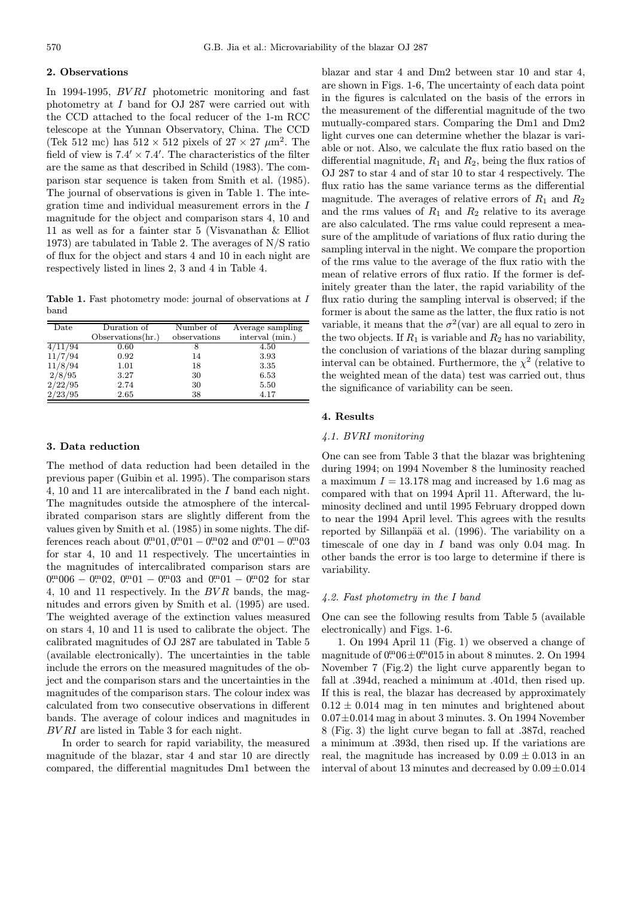#### 2. Observations

In 1994-1995, BV RI photometric monitoring and fast photometry at I band for OJ 287 were carried out with the CCD attached to the focal reducer of the 1-m RCC telescope at the Yunnan Observatory, China. The CCD (Tek 512 mc) has  $512 \times 512$  pixels of  $27 \times 27 \ \mu m^2$ . The field of view is  $7.4' \times 7.4'$ . The characteristics of the filter are the same as that described in Schild (1983). The comparison star sequence is taken from Smith et al. (1985). The journal of observations is given in Table 1. The integration time and individual measurement errors in the I magnitude for the object and comparison stars 4, 10 and 11 as well as for a fainter star 5 (Visvanathan & Elliot 1973) are tabulated in Table 2. The averages of N/S ratio of flux for the object and stars 4 and 10 in each night are respectively listed in lines 2, 3 and 4 in Table 4.

Table 1. Fast photometry mode: journal of observations at I band

| $_{\text{Date}}$ | Duration of       | Number of    | Average sampling |  |
|------------------|-------------------|--------------|------------------|--|
|                  | Observations(hr.) | observations | interval (min.)  |  |
| 4/11/94          | 0.60              | 8            | 4.50             |  |
| 11/7/94          | 0.92              | 14           | 3.93             |  |
| 11/8/94          | 1.01              | 18           | 3.35             |  |
| 2/8/95           | 3.27              | 30           | 6.53             |  |
| 2/22/95          | 2.74              | 30           | 5.50             |  |
| 2/23/95          | 2.65              | 38           | 4.17             |  |

#### 3. Data reduction

The method of data reduction had been detailed in the previous paper (Guibin et al. 1995). The comparison stars 4, 10 and 11 are intercalibrated in the I band each night. The magnitudes outside the atmosphere of the intercalibrated comparison stars are slightly different from the values given by Smith et al. (1985) in some nights. The differences reach about  $0^{m}01, 0^{m}01 - 0^{m}02$  and  $0^{m}01 - 0^{m}03$ for star 4, 10 and 11 respectively. The uncertainties in the magnitudes of intercalibrated comparison stars are  $0^{m}006 - 0^{m}02$ ,  $0^{m}01 - 0^{m}03$  and  $0^{m}01 - 0^{m}02$  for star 4, 10 and 11 respectively. In the  $BVR$  bands, the magnitudes and errors given by Smith et al. (1995) are used. The weighted average of the extinction values measured on stars 4, 10 and 11 is used to calibrate the object. The calibrated magnitudes of OJ 287 are tabulated in Table 5 (available electronically). The uncertainties in the table include the errors on the measured magnitudes of the object and the comparison stars and the uncertainties in the magnitudes of the comparison stars. The colour index was calculated from two consecutive observations in different bands. The average of colour indices and magnitudes in BV RI are listed in Table 3 for each night.

In order to search for rapid variability, the measured magnitude of the blazar, star 4 and star 10 are directly compared, the differential magnitudes Dm1 between the

blazar and star 4 and Dm2 between star 10 and star 4, are shown in Figs. 1-6, The uncertainty of each data point in the figures is calculated on the basis of the errors in the measurement of the differential magnitude of the two mutually-compared stars. Comparing the Dm1 and Dm2 light curves one can determine whether the blazar is variable or not. Also, we calculate the flux ratio based on the differential magnitude,  $R_1$  and  $R_2$ , being the flux ratios of OJ 287 to star 4 and of star 10 to star 4 respectively. The flux ratio has the same variance terms as the differential magnitude. The averages of relative errors of  $R_1$  and  $R_2$ and the rms values of  $R_1$  and  $R_2$  relative to its average are also calculated. The rms value could represent a measure of the amplitude of variations of flux ratio during the sampling interval in the night. We compare the proportion of the rms value to the average of the flux ratio with the mean of relative errors of flux ratio. If the former is definitely greater than the later, the rapid variability of the flux ratio during the sampling interval is observed; if the former is about the same as the latter, the flux ratio is not variable, it means that the  $\sigma^2$ (var) are all equal to zero in the two objects. If  $R_1$  is variable and  $R_2$  has no variability, the conclusion of variations of the blazar during sampling interval can be obtained. Furthermore, the  $\chi^2$  (relative to the weighted mean of the data) test was carried out, thus the significance of variability can be seen.

## 4. Results

#### 4.1. BVRI monitoring

One can see from Table 3 that the blazar was brightening during 1994; on 1994 November 8 the luminosity reached a maximum  $I = 13.178$  mag and increased by 1.6 mag as compared with that on 1994 April 11. Afterward, the luminosity declined and until 1995 February dropped down to near the 1994 April level. This agrees with the results reported by Sillanpää et al. (1996). The variability on a timescale of one day in I band was only 0.04 mag. In other bands the error is too large to determine if there is variability.

#### 4.2. Fast photometry in the I band

One can see the following results from Table 5 (available electronically) and Figs. 1-6.

1. On 1994 April 11 (Fig. 1) we observed a change of magnitude of  $0^{\text{m}}06 \pm 0^{\text{m}}015$  in about 8 minutes. 2. On 1994 November 7 (Fig.2) the light curve apparently began to fall at .394d, reached a minimum at .401d, then rised up. If this is real, the blazar has decreased by approximately  $0.12 \pm 0.014$  mag in ten minutes and brightened about  $0.07\pm0.014$  mag in about 3 minutes. 3. On 1994 November 8 (Fig. 3) the light curve began to fall at .387d, reached a minimum at .393d, then rised up. If the variations are real, the magnitude has increased by  $0.09 \pm 0.013$  in an interval of about 13 minutes and decreased by  $0.09 \pm 0.014$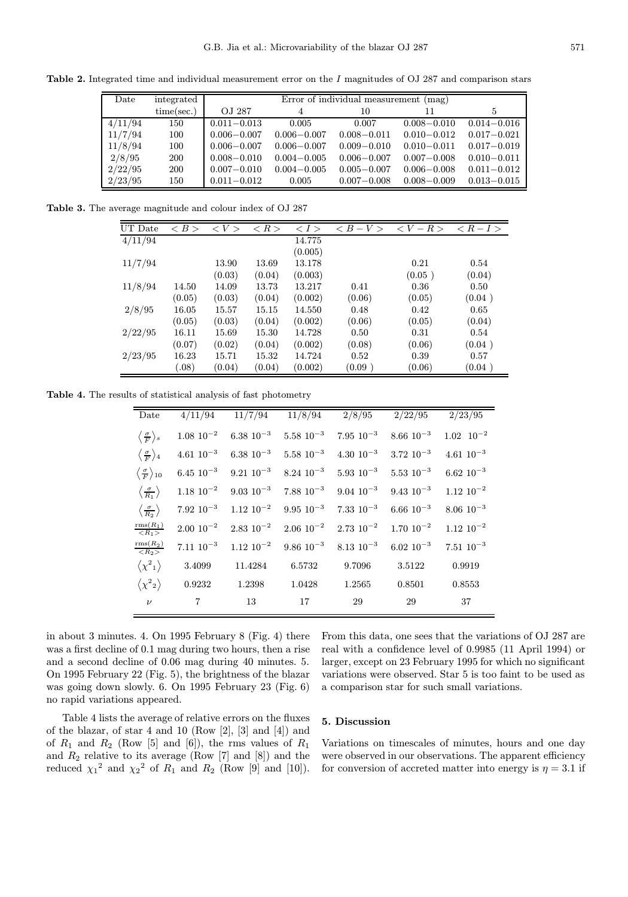Table 2. Integrated time and individual measurement error on the I magnitudes of OJ 287 and comparison stars

| Date    | integrated | Error of individual measurement (mag) |                 |                 |                 |                 |  |  |
|---------|------------|---------------------------------------|-----------------|-----------------|-----------------|-----------------|--|--|
|         | time/sec.  | OJ 287                                |                 | 10              | 11              |                 |  |  |
| 4/11/94 | 150        | $0.011 - 0.013$                       | 0.005           | 0.007           | $0.008 - 0.010$ | $0.014 - 0.016$ |  |  |
| 11/7/94 | 100        | $0.006 - 0.007$                       | $0.006 - 0.007$ | $0.008 - 0.011$ | $0.010 - 0.012$ | $0.017 - 0.021$ |  |  |
| 11/8/94 | 100        | $0.006 - 0.007$                       | $0.006 - 0.007$ | $0.009 - 0.010$ | $0.010 - 0.011$ | $0.017 - 0.019$ |  |  |
| 2/8/95  | <b>200</b> | $0.008 - 0.010$                       | $0.004 - 0.005$ | $0.006 - 0.007$ | $0.007 - 0.008$ | $0.010 - 0.011$ |  |  |
| 2/22/95 | <b>200</b> | $0.007 - 0.010$                       | $0.004 - 0.005$ | $0.005 - 0.007$ | $0.006 - 0.008$ | $0.011 - 0.012$ |  |  |
| 2/23/95 | 150        | $0.011 - 0.012$                       | 0.005           | $0.007 - 0.008$ | $0.008 - 0.009$ | $0.013 - 0.015$ |  |  |

Table 3. The average magnitude and colour index of OJ 287

| UT Date | < B >  | $\langle V \rangle$ | $\langle R \rangle$ | $\langle I \rangle$ | $\langle B-V \rangle$ | $\langle V - R \rangle$ | $\langle R-I \rangle$ |
|---------|--------|---------------------|---------------------|---------------------|-----------------------|-------------------------|-----------------------|
| 4/11/94 |        |                     |                     | 14.775              |                       |                         |                       |
|         |        |                     |                     | (0.005)             |                       |                         |                       |
| 11/7/94 |        | 13.90               | 13.69               | 13.178              |                       | 0.21                    | 0.54                  |
|         |        | (0.03)              | (0.04)              | (0.003)             |                       | (0.05)                  | (0.04)                |
| 11/8/94 | 14.50  | 14.09               | 13.73               | 13.217              | 0.41                  | 0.36                    | 0.50                  |
|         | (0.05) | (0.03)              | (0.04)              | (0.002)             | (0.06)                | (0.05)                  | (0.04)                |
| 2/8/95  | 16.05  | 15.57               | 15.15               | 14.550              | 0.48                  | 0.42                    | 0.65                  |
|         | (0.05) | (0.03)              | (0.04)              | (0.002)             | (0.06)                | (0.05)                  | (0.04)                |
| 2/22/95 | 16.11  | 15.69               | 15.30               | 14.728              | 0.50                  | 0.31                    | 0.54                  |
|         | (0.07) | (0.02)              | (0.04)              | (0.002)             | (0.08)                | (0.06)                  | (0.04)                |
| 2/23/95 | 16.23  | 15.71               | 15.32               | 14.724              | 0.52                  | 0.39                    | 0.57                  |
|         | (.08)  | (0.04)              | (0.04)              | (0.002)             | (0.09)                | (0.06)                  | (0.04)                |

Table 4. The results of statistical analysis of fast photometry

| Date                                             | 4/11/94          | 11/7/94           |                                      | $11/8/94$ $2/8/95$                   | 2/22/95           | 2/23/95          |
|--------------------------------------------------|------------------|-------------------|--------------------------------------|--------------------------------------|-------------------|------------------|
| $\langle \frac{\sigma}{F} \rangle_s$             | $1.08\ 10^{-2}$  |                   | $6.38 \; 10^{-3} \; 5.58 \; 10^{-3}$ | $7.95\,\,10^{-3}$                    | $8.66\;10^{-3}$   | $1.02 \ 10^{-2}$ |
| $\langle \frac{\sigma}{F} \rangle_4$             | $4.61 \ 10^{-3}$ |                   | 6.38 $10^{-3}$ 5.58 $10^{-3}$        | 4.30 $10^{-3}$ 3.72 $10^{-3}$        |                   | $4.61~10^{-3}$   |
| $\left\langle \frac{\sigma}{F} \right\rangle$ 10 | $6.45 \ 10^{-3}$ | $9.21~10^{-3}$    | $8.24 \; 10^{-3}$                    | $5.93 \; 10^{-3} \; 5.53 \; 10^{-3}$ |                   | $6.62~10^{-3}$   |
| $\langle \frac{\sigma}{R_1} \rangle$             | $1.18 \ 10^{-2}$ |                   | $9.03 \; 10^{-3} \; 7.88 \; 10^{-3}$ | $9.04 \; 10^{-3}$                    | $9.43~10^{-3}$    | $1.12 \ 10^{-2}$ |
| $\langle \frac{\sigma}{R_2} \rangle$             | $7.92~10^{-3}$   | $1.12 \; 10^{-2}$ | $9.95\,\,10^{-3}$                    | $7.33 \; 10^{-3}$                    | $6.66~10^{-3}$    | $8.06~10^{-3}$   |
| $\frac{\text{rms}(R_1)}{R_1}$                    | $2.00\ 10^{-2}$  | $2.83 \ 10^{-2}$  | $2.06 \; 10^{-2}$                    | $2.73 \; 10^{-2}$                    | $1.70 \; 10^{-2}$ | $1.12 \ 10^{-2}$ |
| $\frac{\text{rms}(R_2)}{<\!R_2\!>}$              | $7.11 \ 10^{-3}$ | $1.12 \; 10^{-2}$ | $9.86 \ 10^{-3}$                     | $8.13 \ 10^{-3}$                     | $6.02~10^{-3}$    | $7.51~10^{-3}$   |
| $\langle \chi^2_1 \rangle$                       | 3.4099           | 11.4284           | 6.5732                               | 9.7096                               | 3.5122            | 0.9919           |
| $\langle \chi^2{}_2 \rangle$                     | 0.9232           | 1.2398            | 1.0428                               | 1.2565                               | 0.8501            | 0.8553           |
| $\nu$                                            | $\overline{7}$   | 13                | 17                                   | 29                                   | 29                | 37               |

in about 3 minutes. 4. On 1995 February 8 (Fig. 4) there was a first decline of 0.1 mag during two hours, then a rise and a second decline of 0.06 mag during 40 minutes. 5. On 1995 February 22 (Fig. 5), the brightness of the blazar was going down slowly. 6. On 1995 February 23 (Fig. 6) no rapid variations appeared.

From this data, one sees that the variations of OJ 287 are real with a confidence level of 0.9985 (11 April 1994) or larger, except on 23 February 1995 for which no significant variations were observed. Star 5 is too faint to be used as a comparison star for such small variations.

Table 4 lists the average of relative errors on the fluxes of the blazar, of star 4 and 10 (Row  $[2]$ ,  $[3]$  and  $[4]$ ) and of  $R_1$  and  $R_2$  (Row [5] and [6]), the rms values of  $R_1$ and  $R_2$  relative to its average (Row [7] and [8]) and the reduced  $\chi_1^2$  and  $\chi_2^2$  of  $R_1$  and  $R_2$  (Row [9] and [10]).

## 5. Discussion

Variations on timescales of minutes, hours and one day were observed in our observations. The apparent efficiency for conversion of accreted matter into energy is  $\eta = 3.1$  if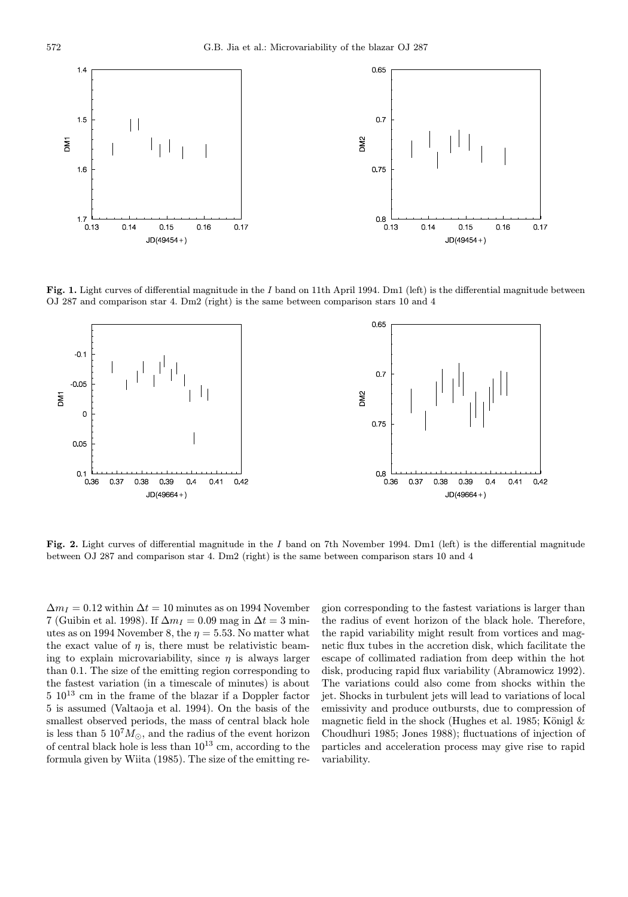

Fig. 1. Light curves of differential magnitude in the I band on 11th April 1994. Dm1 (left) is the differential magnitude between OJ 287 and comparison star 4. Dm2 (right) is the same between comparison stars 10 and 4



Fig. 2. Light curves of differential magnitude in the I band on 7th November 1994. Dm1 (left) is the differential magnitude between OJ 287 and comparison star 4. Dm2 (right) is the same between comparison stars 10 and 4

 $\Delta m_I = 0.12$  within  $\Delta t = 10$  minutes as on 1994 November 7 (Guibin et al. 1998). If  $\Delta m_I = 0.09$  mag in  $\Delta t = 3$  minutes as on 1994 November 8, the  $\eta = 5.53$ . No matter what the exact value of  $\eta$  is, there must be relativistic beaming to explain microvariability, since  $\eta$  is always larger than 0.1. The size of the emitting region corresponding to the fastest variation (in a timescale of minutes) is about  $5\ 10^{13}$  cm in the frame of the blazar if a Doppler factor 5 is assumed (Valtaoja et al. 1994). On the basis of the smallest observed periods, the mass of central black hole is less than 5  $10<sup>7</sup>M<sub>o</sub>$ , and the radius of the event horizon of central black hole is less than  $10^{13}$  cm, according to the formula given by Wiita (1985). The size of the emitting re-

gion corresponding to the fastest variations is larger than the radius of event horizon of the black hole. Therefore, the rapid variability might result from vortices and magnetic flux tubes in the accretion disk, which facilitate the escape of collimated radiation from deep within the hot disk, producing rapid flux variability (Abramowicz 1992). The variations could also come from shocks within the jet. Shocks in turbulent jets will lead to variations of local emissivity and produce outbursts, due to compression of magnetic field in the shock (Hughes et al. 1985; Königl  $\&$ Choudhuri 1985; Jones 1988); fluctuations of injection of particles and acceleration process may give rise to rapid variability.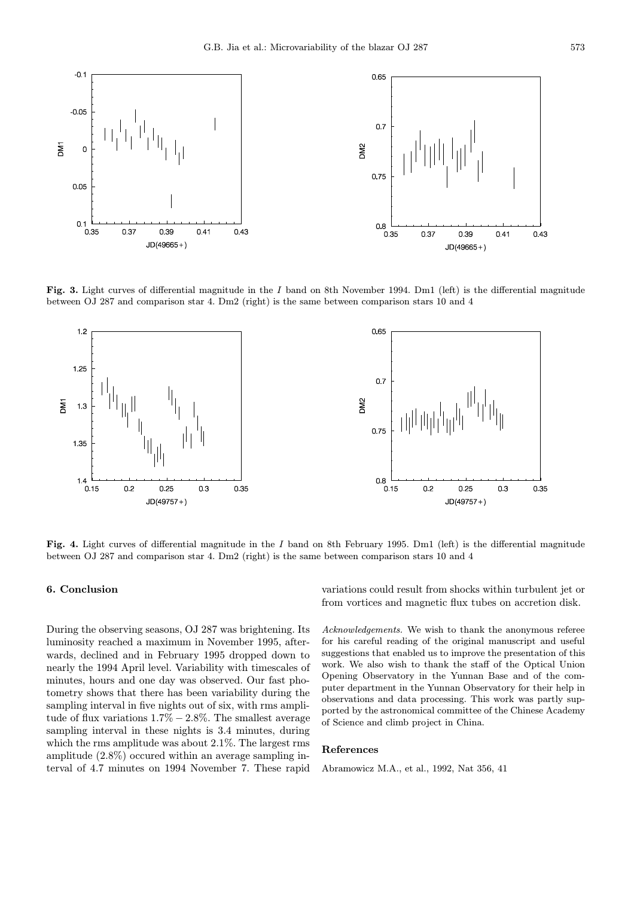

Fig. 3. Light curves of differential magnitude in the I band on 8th November 1994. Dm1 (left) is the differential magnitude between OJ 287 and comparison star 4. Dm2 (right) is the same between comparison stars 10 and 4



Fig. 4. Light curves of differential magnitude in the I band on 8th February 1995. Dm1 (left) is the differential magnitude between OJ 287 and comparison star 4. Dm2 (right) is the same between comparison stars 10 and 4

## 6. Conclusion

During the observing seasons, OJ 287 was brightening. Its luminosity reached a maximum in November 1995, afterwards, declined and in February 1995 dropped down to nearly the 1994 April level. Variability with timescales of minutes, hours and one day was observed. Our fast photometry shows that there has been variability during the sampling interval in five nights out of six, with rms amplitude of flux variations  $1.7\% - 2.8\%$ . The smallest average sampling interval in these nights is 3.4 minutes, during which the rms amplitude was about 2.1%. The largest rms amplitude (2.8%) occured within an average sampling interval of 4.7 minutes on 1994 November 7. These rapid variations could result from shocks within turbulent jet or from vortices and magnetic flux tubes on accretion disk.

Acknowledgements. We wish to thank the anonymous referee for his careful reading of the original manuscript and useful suggestions that enabled us to improve the presentation of this work. We also wish to thank the staff of the Optical Union Opening Observatory in the Yunnan Base and of the computer department in the Yunnan Observatory for their help in observations and data processing. This work was partly supported by the astronomical committee of the Chinese Academy of Science and climb project in China.

#### References

Abramowicz M.A., et al., 1992, Nat 356, 41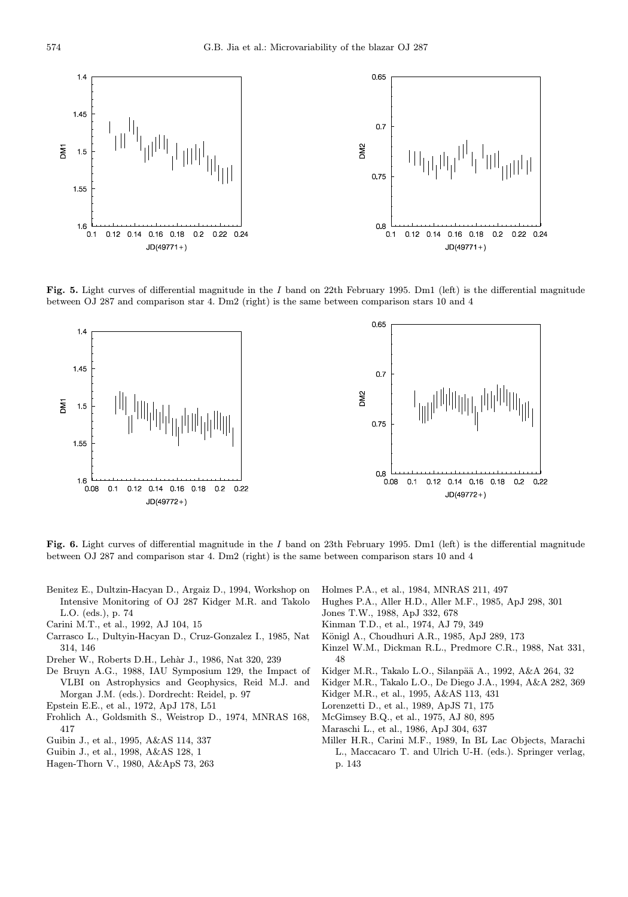

Fig. 5. Light curves of differential magnitude in the I band on 22th February 1995. Dm1 (left) is the differential magnitude between OJ 287 and comparison star 4. Dm2 (right) is the same between comparison stars 10 and 4



Fig. 6. Light curves of differential magnitude in the I band on 23th February 1995. Dm1 (left) is the differential magnitude between OJ 287 and comparison star 4. Dm2 (right) is the same between comparison stars 10 and 4

- Benitez E., Dultzin-Hacyan D., Argaiz D., 1994, Workshop on Intensive Monitoring of OJ 287 Kidger M.R. and Takolo L.O. (eds.), p. 74
- Carini M.T., et al., 1992, AJ 104, 15
- Carrasco L., Dultyin-Hacyan D., Cruz-Gonzalez I., 1985, Nat 314, 146
- Dreher W., Roberts D.H., Leh`ar J., 1986, Nat 320, 239
- De Bruyn A.G., 1988, IAU Symposium 129, the Impact of VLBI on Astrophysics and Geophysics, Reid M.J. and Morgan J.M. (eds.). Dordrecht: Reidel, p. 97
- Epstein E.E., et al., 1972, ApJ 178, L51
- Frohlich A., Goldsmith S., Weistrop D., 1974, MNRAS 168, 417
- Guibin J., et al., 1995, A&AS 114, 337
- Guibin J., et al., 1998, A&AS 128, 1
- Hagen-Thorn V., 1980, A&ApS 73, 263
- Holmes P.A., et al., 1984, MNRAS 211, 497
- Hughes P.A., Aller H.D., Aller M.F., 1985, ApJ 298, 301
- Jones T.W., 1988, ApJ 332, 678
- Kinman T.D., et al., 1974, AJ 79, 349
- Königl A., Choudhuri A.R., 1985, ApJ 289, 173
- Kinzel W.M., Dickman R.L., Predmore C.R., 1988, Nat 331, 48
- Kidger M.R., Takalo L.O., Silanpää A., 1992, A&A 264, 32
- Kidger M.R., Takalo L.O., De Diego J.A., 1994, A&A 282, 369
- Kidger M.R., et al., 1995, A&AS 113, 431
- Lorenzetti D., et al., 1989, ApJS 71, 175
- McGimsey B.Q., et al., 1975, AJ 80, 895
- Maraschi L., et al., 1986, ApJ 304, 637
- Miller H.R., Carini M.F., 1989, In BL Lac Objects, Marachi L., Maccacaro T. and Ulrich U-H. (eds.). Springer verlag, p. 143